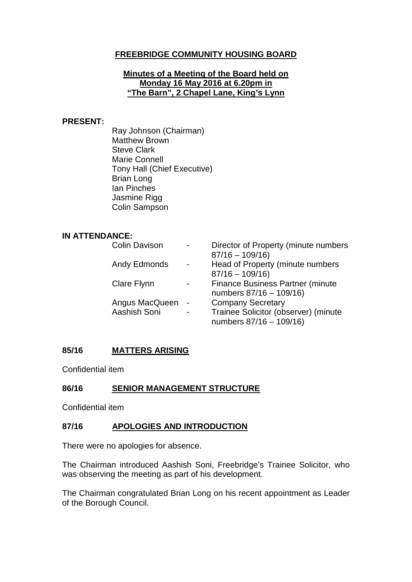# **FREEBRIDGE COMMUNITY HOUSING BOARD**

#### **Minutes of a Meeting of the Board held on Monday 16 May 2016 at 6.20pm in "The Barn", 2 Chapel Lane, King's Lynn**

#### **PRESENT:**

Ray Johnson (Chairman) Matthew Brown Steve Clark Marie Connell Tony Hall (Chief Executive) Brian Long Ian Pinches Jasmine Rigg Colin Sampson

#### **IN ATTENDANCE:**

| <b>Colin Davison</b> |                          | Director of Property (minute numbers<br>$87/16 - 109/16$        |
|----------------------|--------------------------|-----------------------------------------------------------------|
| Andy Edmonds         |                          | Head of Property (minute numbers                                |
| <b>Clare Flynn</b>   |                          | $87/16 - 109/16$<br><b>Finance Business Partner (minute</b>     |
| Angus MacQueen       | $\overline{\phantom{a}}$ | numbers 87/16 - 109/16)<br><b>Company Secretary</b>             |
| Aashish Soni         | $\blacksquare$           | Trainee Solicitor (observer) (minute<br>numbers 87/16 - 109/16) |

### **85/16 MATTERS ARISING**

Confidential item

### **86/16 SENIOR MANAGEMENT STRUCTURE**

Confidential item

### **87/16 APOLOGIES AND INTRODUCTION**

There were no apologies for absence.

The Chairman introduced Aashish Soni, Freebridge's Trainee Solicitor, who was observing the meeting as part of his development.

The Chairman congratulated Brian Long on his recent appointment as Leader of the Borough Council.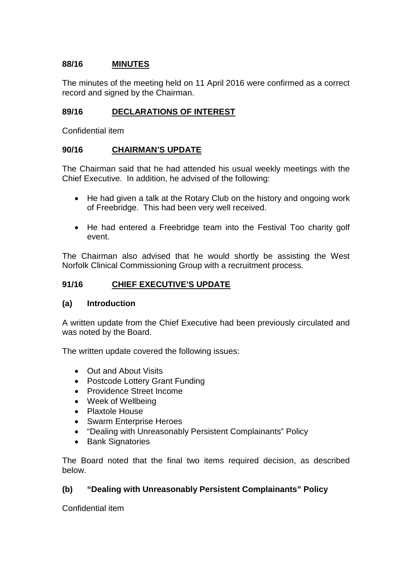# **88/16 MINUTES**

The minutes of the meeting held on 11 April 2016 were confirmed as a correct record and signed by the Chairman.

### **89/16 DECLARATIONS OF INTEREST**

Confidential item

### **90/16 CHAIRMAN'S UPDATE**

The Chairman said that he had attended his usual weekly meetings with the Chief Executive. In addition, he advised of the following:

- He had given a talk at the Rotary Club on the history and ongoing work of Freebridge. This had been very well received.
- He had entered a Freebridge team into the Festival Too charity golf event.

The Chairman also advised that he would shortly be assisting the West Norfolk Clinical Commissioning Group with a recruitment process.

### **91/16 CHIEF EXECUTIVE'S UPDATE**

### **(a) Introduction**

A written update from the Chief Executive had been previously circulated and was noted by the Board.

The written update covered the following issues:

- Out and About Visits
- Postcode Lottery Grant Funding
- Providence Street Income
- Week of Wellbeing
- Plaxtole House
- Swarm Enterprise Heroes
- "Dealing with Unreasonably Persistent Complainants" Policy
- Bank Signatories

The Board noted that the final two items required decision, as described below.

# **(b) "Dealing with Unreasonably Persistent Complainants" Policy**

Confidential item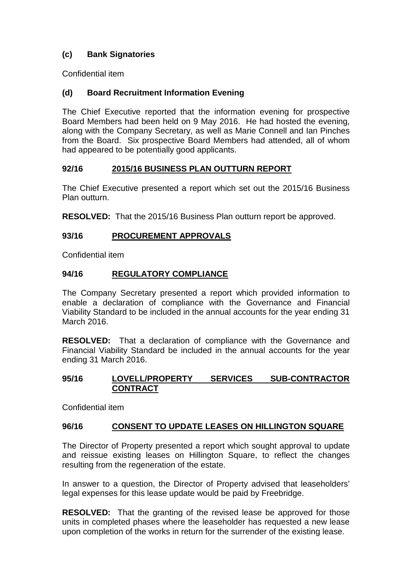# **(c) Bank Signatories**

Confidential item

# **(d) Board Recruitment Information Evening**

The Chief Executive reported that the information evening for prospective Board Members had been held on 9 May 2016. He had hosted the evening, along with the Company Secretary, as well as Marie Connell and Ian Pinches from the Board. Six prospective Board Members had attended, all of whom had appeared to be potentially good applicants.

# **92/16 2015/16 BUSINESS PLAN OUTTURN REPORT**

The Chief Executive presented a report which set out the 2015/16 Business Plan outturn.

**RESOLVED:** That the 2015/16 Business Plan outturn report be approved.

# **93/16 PROCUREMENT APPROVALS**

Confidential item

### **94/16 REGULATORY COMPLIANCE**

The Company Secretary presented a report which provided information to enable a declaration of compliance with the Governance and Financial Viability Standard to be included in the annual accounts for the year ending 31 March 2016.

**RESOLVED:** That a declaration of compliance with the Governance and Financial Viability Standard be included in the annual accounts for the year ending 31 March 2016.

# **95/16 LOVELL/PROPERTY SERVICES SUB-CONTRACTOR CONTRACT**

Confidential item

# **96/16 CONSENT TO UPDATE LEASES ON HILLINGTON SQUARE**

The Director of Property presented a report which sought approval to update and reissue existing leases on Hillington Square, to reflect the changes resulting from the regeneration of the estate.

In answer to a question, the Director of Property advised that leaseholders' legal expenses for this lease update would be paid by Freebridge.

**RESOLVED:** That the granting of the revised lease be approved for those units in completed phases where the leaseholder has requested a new lease upon completion of the works in return for the surrender of the existing lease.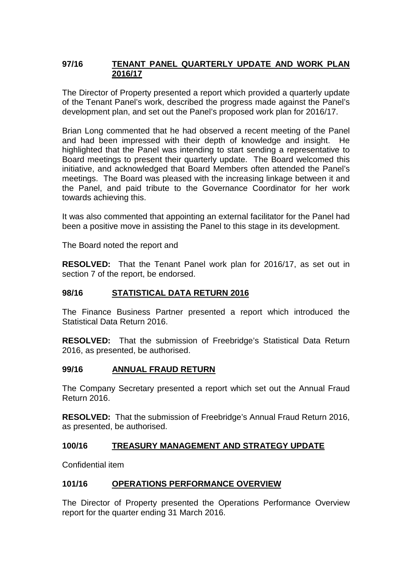### **97/16 TENANT PANEL QUARTERLY UPDATE AND WORK PLAN 2016/17**

The Director of Property presented a report which provided a quarterly update of the Tenant Panel's work, described the progress made against the Panel's development plan, and set out the Panel's proposed work plan for 2016/17.

Brian Long commented that he had observed a recent meeting of the Panel and had been impressed with their depth of knowledge and insight. He highlighted that the Panel was intending to start sending a representative to Board meetings to present their quarterly update. The Board welcomed this initiative, and acknowledged that Board Members often attended the Panel's meetings. The Board was pleased with the increasing linkage between it and the Panel, and paid tribute to the Governance Coordinator for her work towards achieving this.

It was also commented that appointing an external facilitator for the Panel had been a positive move in assisting the Panel to this stage in its development.

The Board noted the report and

**RESOLVED:** That the Tenant Panel work plan for 2016/17, as set out in section 7 of the report, be endorsed.

### **98/16 STATISTICAL DATA RETURN 2016**

The Finance Business Partner presented a report which introduced the Statistical Data Return 2016.

**RESOLVED:** That the submission of Freebridge's Statistical Data Return 2016, as presented, be authorised.

### **99/16 ANNUAL FRAUD RETURN**

The Company Secretary presented a report which set out the Annual Fraud Return 2016.

**RESOLVED:** That the submission of Freebridge's Annual Fraud Return 2016, as presented, be authorised.

### **100/16 TREASURY MANAGEMENT AND STRATEGY UPDATE**

Confidential item

### **101/16 OPERATIONS PERFORMANCE OVERVIEW**

The Director of Property presented the Operations Performance Overview report for the quarter ending 31 March 2016.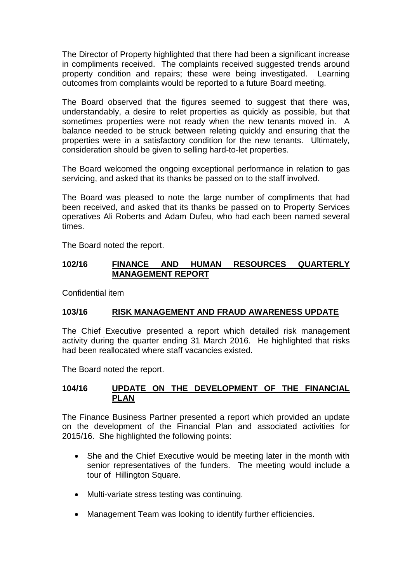The Director of Property highlighted that there had been a significant increase in compliments received. The complaints received suggested trends around property condition and repairs; these were being investigated. Learning outcomes from complaints would be reported to a future Board meeting.

The Board observed that the figures seemed to suggest that there was, understandably, a desire to relet properties as quickly as possible, but that sometimes properties were not ready when the new tenants moved in. A balance needed to be struck between releting quickly and ensuring that the properties were in a satisfactory condition for the new tenants. Ultimately, consideration should be given to selling hard-to-let properties.

The Board welcomed the ongoing exceptional performance in relation to gas servicing, and asked that its thanks be passed on to the staff involved.

The Board was pleased to note the large number of compliments that had been received, and asked that its thanks be passed on to Property Services operatives Ali Roberts and Adam Dufeu, who had each been named several times.

The Board noted the report.

### **102/16 FINANCE AND HUMAN RESOURCES QUARTERLY MANAGEMENT REPORT**

Confidential item

# **103/16 RISK MANAGEMENT AND FRAUD AWARENESS UPDATE**

The Chief Executive presented a report which detailed risk management activity during the quarter ending 31 March 2016. He highlighted that risks had been reallocated where staff vacancies existed.

The Board noted the report.

### **104/16 UPDATE ON THE DEVELOPMENT OF THE FINANCIAL PLAN**

The Finance Business Partner presented a report which provided an update on the development of the Financial Plan and associated activities for 2015/16. She highlighted the following points:

- She and the Chief Executive would be meeting later in the month with senior representatives of the funders. The meeting would include a tour of Hillington Square.
- Multi-variate stress testing was continuing.
- Management Team was looking to identify further efficiencies.